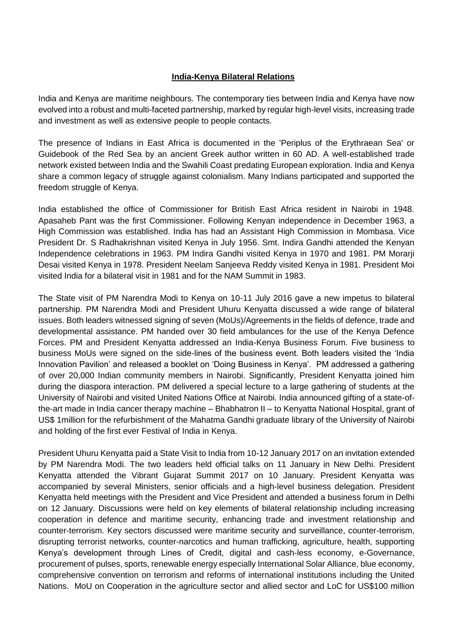## **India-Kenya Bilateral Relations**

India and Kenya are maritime neighbours. The contemporary ties between India and Kenya have now evolved into a robust and multi-faceted partnership, marked by regular high-level visits, increasing trade and investment as well as extensive people to people contacts.

The presence of Indians in East Africa is documented in the 'Periplus of the Erythraean Sea' or Guidebook of the Red Sea by an ancient Greek author written in 60 AD. A well-established trade network existed between India and the Swahili Coast predating European exploration. India and Kenya share a common legacy of struggle against colonialism. Many Indians participated and supported the freedom struggle of Kenya.

India established the office of Commissioner for British East Africa resident in Nairobi in 1948. Apasaheb Pant was the first Commissioner. Following Kenyan independence in December 1963, a High Commission was established. India has had an Assistant High Commission in Mombasa. Vice President Dr. S Radhakrishnan visited Kenya in July 1956. Smt. Indira Gandhi attended the Kenyan Independence celebrations in 1963. PM Indira Gandhi visited Kenya in 1970 and 1981. PM Morarji Desai visited Kenya in 1978. President Neelam Sanjeeva Reddy visited Kenya in 1981. President Moi visited India for a bilateral visit in 1981 and for the NAM Summit in 1983.

The State visit of PM Narendra Modi to Kenya on 10-11 July 2016 gave a new impetus to bilateral partnership. PM Narendra Modi and President Uhuru Kenyatta discussed a wide range of bilateral issues. Both leaders witnessed signing of seven (MoUs)/Agreements in the fields of defence, trade and developmental assistance. PM handed over 30 field ambulances for the use of the Kenya Defence Forces. PM and President Kenyatta addressed an India-Kenya Business Forum. Five business to business MoUs were signed on the side-lines of the business event. Both leaders visited the 'India Innovation Pavilion' and released a booklet on 'Doing Business in Kenya'. PM addressed a gathering of over 20,000 Indian community members in Nairobi. Significantly, President Kenyatta joined him during the diaspora interaction. PM delivered a special lecture to a large gathering of students at the University of Nairobi and visited United Nations Office at Nairobi. India announced gifting of a state-ofthe-art made in India cancer therapy machine – Bhabhatron II – to Kenyatta National Hospital, grant of US\$ 1million for the refurbishment of the Mahatma Gandhi graduate library of the University of Nairobi and holding of the first ever Festival of India in Kenya.

President Uhuru Kenyatta paid a State Visit to India from 10-12 January 2017 on an invitation extended by PM Narendra Modi. The two leaders held official talks on 11 January in New Delhi. President Kenyatta attended the Vibrant Gujarat Summit 2017 on 10 January. President Kenyatta was accompanied by several Ministers, senior officials and a high-level business delegation. President Kenyatta held meetings with the President and Vice President and attended a business forum in Delhi on 12 January. Discussions were held on key elements of bilateral relationship including increasing cooperation in defence and maritime security, enhancing trade and investment relationship and counter-terrorism. Key sectors discussed were maritime security and surveillance, counter-terrorism, disrupting terrorist networks, counter-narcotics and human trafficking, agriculture, health, supporting Kenya's development through Lines of Credit, digital and cash-less economy, e-Governance, procurement of pulses, sports, renewable energy especially International Solar Alliance, blue economy, comprehensive convention on terrorism and reforms of international institutions including the United Nations. MoU on Cooperation in the agriculture sector and allied sector and LoC for US\$100 million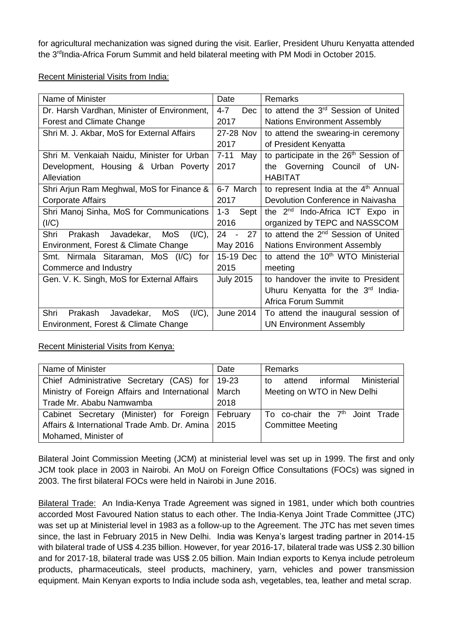for agricultural mechanization was signed during the visit. Earlier, President Uhuru Kenyatta attended the 3<sup>rd</sup>India-Africa Forum Summit and held bilateral meeting with PM Modi in October 2015.

Recent Ministerial Visits from India:

| Name of Minister                                  | Date                       | <b>Remarks</b>                                    |
|---------------------------------------------------|----------------------------|---------------------------------------------------|
| Dr. Harsh Vardhan, Minister of Environment,       | $4 - 7$<br>Dec             | to attend the 3 <sup>rd</sup> Session of United   |
| <b>Forest and Climate Change</b>                  | 2017                       | <b>Nations Environment Assembly</b>               |
| Shri M. J. Akbar, MoS for External Affairs        | 27-28 Nov                  | to attend the swearing-in ceremony                |
|                                                   | 2017                       | of President Kenyatta                             |
| Shri M. Venkaiah Naidu, Minister for Urban        | $7 - 11$<br>May            | to participate in the 26 <sup>th</sup> Session of |
| Development, Housing & Urban Poverty              | 2017                       | the Governing Council of UN-                      |
| Alleviation                                       |                            | <b>HABITAT</b>                                    |
| Shri Arjun Ram Meghwal, MoS for Finance &         | 6-7 March                  | to represent India at the 4 <sup>th</sup> Annual  |
| Corporate Affairs                                 | 2017                       | Devolution Conference in Naivasha                 |
| Shri Manoj Sinha, MoS for Communications          | $1 - 3$<br>Sept            | the 2 <sup>nd</sup> Indo-Africa ICT Expo in       |
| (1/C)                                             | 2016                       | organized by TEPC and NASSCOM                     |
| Shri<br>Prakash<br>Javadekar,<br>MoS<br>$(I/C)$ , | 27<br>24<br>$\blacksquare$ | to attend the 2 <sup>nd</sup> Session of United   |
| Environment, Forest & Climate Change              | May 2016                   | <b>Nations Environment Assembly</b>               |
| Smt. Nirmala Sitaraman, MoS (I/C)<br>for          | 15-19 Dec                  | to attend the 10 <sup>th</sup> WTO Ministerial    |
| Commerce and Industry                             | 2015                       | meeting                                           |
| Gen. V. K. Singh, MoS for External Affairs        | <b>July 2015</b>           | to handover the invite to President               |
|                                                   |                            | Uhuru Kenyatta for the 3 <sup>rd</sup> India-     |
|                                                   |                            | <b>Africa Forum Summit</b>                        |
| $(I/C)$ ,<br>Javadekar,<br>MoS<br>Shri<br>Prakash | June 2014                  | To attend the inaugural session of                |
| Environment, Forest & Climate Change              |                            | <b>UN Environment Assembly</b>                    |

Recent Ministerial Visits from Kenya:

| Name of Minister                              | Date     | Remarks                                     |
|-----------------------------------------------|----------|---------------------------------------------|
| Chief Administrative Secretary (CAS) for      | 19-23    | informal<br>Ministerial<br>attend<br>to     |
| Ministry of Foreign Affairs and International | March    | Meeting on WTO in New Delhi                 |
| Trade Mr. Ababu Namwamba                      | 2018     |                                             |
| Cabinet Secretary (Minister) for Foreign      | February | To co-chair the 7 <sup>th</sup> Joint Trade |
| Affairs & International Trade Amb. Dr. Amina  | 2015     | <b>Committee Meeting</b>                    |
| Mohamed, Minister of                          |          |                                             |

Bilateral Joint Commission Meeting (JCM) at ministerial level was set up in 1999. The first and only JCM took place in 2003 in Nairobi. An MoU on Foreign Office Consultations (FOCs) was signed in 2003. The first bilateral FOCs were held in Nairobi in June 2016.

Bilateral Trade: An India-Kenya Trade Agreement was signed in 1981, under which both countries accorded Most Favoured Nation status to each other. The India-Kenya Joint Trade Committee (JTC) was set up at Ministerial level in 1983 as a follow-up to the Agreement. The JTC has met seven times since, the last in February 2015 in New Delhi. India was Kenya's largest trading partner in 2014-15 with bilateral trade of US\$ 4.235 billion. However, for year 2016-17, bilateral trade was US\$ 2.30 billion and for 2017-18, bilateral trade was US\$ 2.05 billion. Main Indian exports to Kenya include petroleum products, pharmaceuticals, steel products, machinery, yarn, vehicles and power transmission equipment. Main Kenyan exports to India include soda ash, vegetables, tea, leather and metal scrap.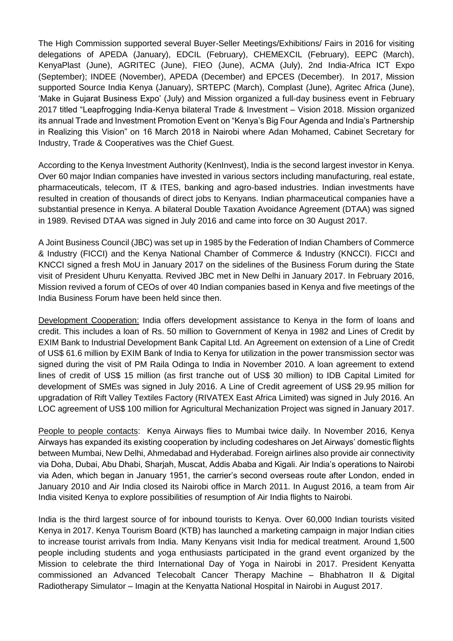The High Commission supported several Buyer-Seller Meetings/Exhibitions/ Fairs in 2016 for visiting delegations of APEDA (January), EDCIL (February), CHEMEXCIL (February), EEPC (March), KenyaPlast (June), AGRITEC (June), FIEO (June), ACMA (July), 2nd India-Africa ICT Expo (September); INDEE (November), APEDA (December) and EPCES (December). In 2017, Mission supported Source India Kenya (January), SRTEPC (March), Complast (June), Agritec Africa (June), 'Make in Gujarat Business Expo' (July) and Mission organized a full-day business event in February 2017 titled "Leapfrogging India-Kenya bilateral Trade & Investment – Vision 2018. Mission organized its annual Trade and Investment Promotion Event on "Kenya's Big Four Agenda and India's Partnership in Realizing this Vision" on 16 March 2018 in Nairobi where Adan Mohamed, Cabinet Secretary for Industry, Trade & Cooperatives was the Chief Guest.

According to the Kenya Investment Authority (KenInvest), India is the second largest investor in Kenya. Over 60 major Indian companies have invested in various sectors including manufacturing, real estate, pharmaceuticals, telecom, IT & ITES, banking and agro-based industries. Indian investments have resulted in creation of thousands of direct jobs to Kenyans. Indian pharmaceutical companies have a substantial presence in Kenya. A bilateral Double Taxation Avoidance Agreement (DTAA) was signed in 1989. Revised DTAA was signed in July 2016 and came into force on 30 August 2017.

A Joint Business Council (JBC) was set up in 1985 by the Federation of Indian Chambers of Commerce & Industry (FICCI) and the Kenya National Chamber of Commerce & Industry (KNCCI). FICCI and KNCCI signed a fresh MoU in January 2017 on the sidelines of the Business Forum during the State visit of President Uhuru Kenyatta. Revived JBC met in New Delhi in January 2017. In February 2016, Mission revived a forum of CEOs of over 40 Indian companies based in Kenya and five meetings of the India Business Forum have been held since then.

Development Cooperation: India offers development assistance to Kenya in the form of loans and credit. This includes a loan of Rs. 50 million to Government of Kenya in 1982 and Lines of Credit by EXIM Bank to Industrial Development Bank Capital Ltd. An Agreement on extension of a Line of Credit of US\$ 61.6 million by EXIM Bank of India to Kenya for utilization in the power transmission sector was signed during the visit of PM Raila Odinga to India in November 2010. A loan agreement to extend lines of credit of US\$ 15 million (as first tranche out of US\$ 30 million) to IDB Capital Limited for development of SMEs was signed in July 2016. A Line of Credit agreement of US\$ 29.95 million for upgradation of Rift Valley Textiles Factory (RIVATEX East Africa Limited) was signed in July 2016. An LOC agreement of US\$ 100 million for Agricultural Mechanization Project was signed in January 2017.

People to people contacts: Kenya Airways flies to Mumbai twice daily. In November 2016, Kenya Airways has expanded its existing cooperation by including codeshares on Jet Airways' domestic flights between Mumbai, New Delhi, Ahmedabad and Hyderabad. Foreign airlines also provide air connectivity via Doha, Dubai, Abu Dhabi, Sharjah, Muscat, Addis Ababa and Kigali. Air India's operations to Nairobi via Aden, which began in January 1951, the carrier's second overseas route after London, ended in January 2010 and Air India closed its Nairobi office in March 2011. In August 2016, a team from Air India visited Kenya to explore possibilities of resumption of Air India flights to Nairobi.

India is the third largest source of for inbound tourists to Kenya. Over 60,000 Indian tourists visited Kenya in 2017. Kenya Tourism Board (KTB) has launched a marketing campaign in major Indian cities to increase tourist arrivals from India. Many Kenyans visit India for medical treatment. Around 1,500 people including students and yoga enthusiasts participated in the grand event organized by the Mission to celebrate the third International Day of Yoga in Nairobi in 2017. President Kenyatta commissioned an Advanced Telecobalt Cancer Therapy Machine – Bhabhatron II & Digital Radiotherapy Simulator – Imagin at the Kenyatta National Hospital in Nairobi in August 2017.